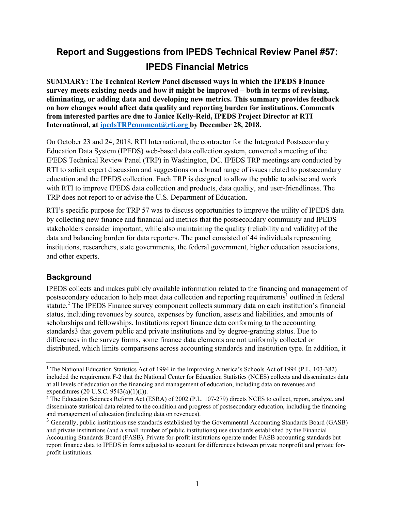# **Report and Suggestions from IPEDS Technical Review Panel #57: IPEDS Financial Metrics**

**SUMMARY: The Technical Review Panel discussed ways in which the IPEDS Finance survey meets existing needs and how it might be improved – both in terms of revising, eliminating, or adding data and developing new metrics. This summary provides feedback on how changes would affect data quality and reporting burden for institutions. Comments from interested parties are due to Janice Kelly-Reid, IPEDS Project Director at RTI**  International, at ipedsTRPcomment@rti.org by December 28, 2018.

On October 23 and 24, 2018, RTI International, the contractor for the Integrated Postsecondary Education Data System (IPEDS) web-based data collection system, convened a meeting of the IPEDS Technical Review Panel (TRP) in Washington, DC. IPEDS TRP meetings are conducted by RTI to solicit expert discussion and suggestions on a broad range of issues related to postsecondary education and the IPEDS collection. Each TRP is designed to allow the public to advise and work with RTI to improve IPEDS data collection and products, data quality, and user-friendliness. The TRP does not report to or advise the U.S. Department of Education.

RTI's specific purpose for TRP 57 was to discuss opportunities to improve the utility of IPEDS data by collecting new finance and financial aid metrics that the postsecondary community and IPEDS stakeholders consider important, while also maintaining the quality (reliability and validity) of the data and balancing burden for data reporters. The panel consisted of 44 individuals representing institutions, researchers, state governments, the federal government, higher education associations, and other experts.

#### **Background**

IPEDS collects and makes publicly available information related to the financing and management of postsecondary education to help meet data collection and reporting requirements<sup>1</sup> outlined in federal statute.<sup>2</sup> The IPEDS Finance survey component collects summary data on each institution's financial status, including revenues by source, expenses by function, assets and liabilities, and amounts of scholarships and fellowships. Institutions report finance data conforming to the accounting standards3 that govern public and private institutions and by degree-granting status. Due to differences in the survey forms, some finance data elements are not uniformly collected or distributed, which limits comparisons across accounting standards and institution type. In addition, it

<sup>-</sup><sup>1</sup> The National Education Statistics Act of 1994 in the Improving America's Schools Act of 1994 (P.L. 103-382) included the requirement F-2 that the National Center for Education Statistics (NCES) collects and disseminates data at all levels of education on the financing and management of education, including data on revenues and expenditures (20 U.S.C. 9543(a)(1)(I)).<br><sup>2</sup> The Education Sciences Reform Act (ESRA) of 2002 (P.L. 107-279) directs NCES to collect, report, analyze, and

disseminate statistical data related to the condition and progress of postsecondary education, including the financing and management of education (including data on revenues).

<sup>&</sup>lt;sup>3</sup> Generally, public institutions use standards established by the Governmental Accounting Standards Board (GASB) and private institutions (and a small number of public institutions) use standards established by the Financial Accounting Standards Board (FASB). Private for-profit institutions operate under FASB accounting standards but report finance data to IPEDS in forms adjusted to account for differences between private nonprofit and private forprofit institutions.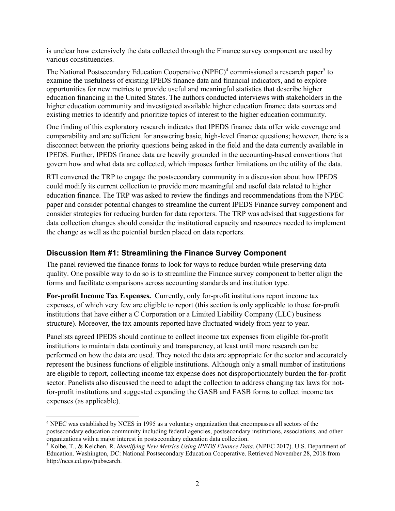is unclear how extensively the data collected through the Finance survey component are used by various constituencies.

The National Postsecondary Education Cooperative (NPEC)<sup>4</sup> commissioned a research paper<sup>5</sup> to examine the usefulness of existing IPEDS finance data and financial indicators, and to explore opportunities for new metrics to provide useful and meaningful statistics that describe higher education financing in the United States. The authors conducted interviews with stakeholders in the higher education community and investigated available higher education finance data sources and existing metrics to identify and prioritize topics of interest to the higher education community.

One finding of this exploratory research indicates that IPEDS finance data offer wide coverage and comparability and are sufficient for answering basic, high-level finance questions; however, there is a disconnect between the priority questions being asked in the field and the data currently available in IPEDS. Further, IPEDS finance data are heavily grounded in the accounting-based conventions that govern how and what data are collected, which imposes further limitations on the utility of the data.

RTI convened the TRP to engage the postsecondary community in a discussion about how IPEDS could modify its current collection to provide more meaningful and useful data related to higher education finance. The TRP was asked to review the findings and recommendations from the NPEC paper and consider potential changes to streamline the current IPEDS Finance survey component and consider strategies for reducing burden for data reporters. The TRP was advised that suggestions for data collection changes should consider the institutional capacity and resources needed to implement the change as well as the potential burden placed on data reporters.

#### **Discussion Item #1: Streamlining the Finance Survey Component**

The panel reviewed the finance forms to look for ways to reduce burden while preserving data quality. One possible way to do so is to streamline the Finance survey component to better align the forms and facilitate comparisons across accounting standards and institution type.

**For-profit Income Tax Expenses.** Currently, only for-profit institutions report income tax expenses, of which very few are eligible to report (this section is only applicable to those for-profit institutions that have either a C Corporation or a Limited Liability Company (LLC) business structure). Moreover, the tax amounts reported have fluctuated widely from year to year.

Panelists agreed IPEDS should continue to collect income tax expenses from eligible for-profit institutions to maintain data continuity and transparency, at least until more research can be performed on how the data are used. They noted the data are appropriate for the sector and accurately represent the business functions of eligible institutions. Although only a small number of institutions are eligible to report, collecting income tax expense does not disproportionately burden the for-profit sector. Panelists also discussed the need to adapt the collection to address changing tax laws for notfor-profit institutions and suggested expanding the GASB and FASB forms to collect income tax expenses (as applicable).

<sup>&</sup>lt;sup>4</sup> NPEC was established by NCES in 1995 as a voluntary organization that encompasses all sectors of the postsecondary education community including federal agencies, postsecondary institutions, associations, and other organizations with a major interest in postsecondary education data collection.

<sup>5</sup> Kolbe, T., & Kelchen, R. *Identifying New Metrics Using IPEDS Finance Data.* (NPEC 2017). U.S. Department of Education. Washington, DC: National Postsecondary Education Cooperative. Retrieved November 28, 2018 from http://nces.ed.gov/pubsearch.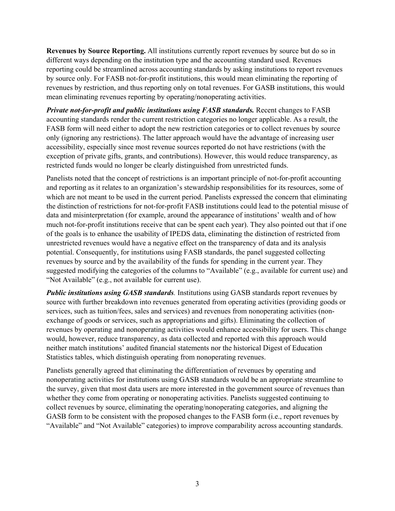**Revenues by Source Reporting.** All institutions currently report revenues by source but do so in different ways depending on the institution type and the accounting standard used. Revenues reporting could be streamlined across accounting standards by asking institutions to report revenues by source only. For FASB not-for-profit institutions, this would mean eliminating the reporting of revenues by restriction, and thus reporting only on total revenues. For GASB institutions, this would mean eliminating revenues reporting by operating/nonoperating activities.

*Private not-for-profit and public institutions using FASB standards.* Recent changes to FASB accounting standards render the current restriction categories no longer applicable. As a result, the FASB form will need either to adopt the new restriction categories or to collect revenues by source only (ignoring any restrictions). The latter approach would have the advantage of increasing user accessibility, especially since most revenue sources reported do not have restrictions (with the exception of private gifts, grants, and contributions). However, this would reduce transparency, as restricted funds would no longer be clearly distinguished from unrestricted funds.

Panelists noted that the concept of restrictions is an important principle of not-for-profit accounting and reporting as it relates to an organization's stewardship responsibilities for its resources, some of which are not meant to be used in the current period. Panelists expressed the concern that eliminating the distinction of restrictions for not-for-profit FASB institutions could lead to the potential misuse of data and misinterpretation (for example, around the appearance of institutions' wealth and of how much not-for-profit institutions receive that can be spent each year). They also pointed out that if one of the goals is to enhance the usability of IPEDS data, eliminating the distinction of restricted from unrestricted revenues would have a negative effect on the transparency of data and its analysis potential. Consequently, for institutions using FASB standards, the panel suggested collecting revenues by source and by the availability of the funds for spending in the current year. They suggested modifying the categories of the columns to "Available" (e.g., available for current use) and "Not Available" (e.g., not available for current use).

*Public institutions using GASB standards.* Institutions using GASB standards report revenues by source with further breakdown into revenues generated from operating activities (providing goods or services, such as tuition/fees, sales and services) and revenues from nonoperating activities (nonexchange of goods or services, such as appropriations and gifts). Eliminating the collection of revenues by operating and nonoperating activities would enhance accessibility for users. This change would, however, reduce transparency, as data collected and reported with this approach would neither match institutions' audited financial statements nor the historical Digest of Education Statistics tables, which distinguish operating from nonoperating revenues.

Panelists generally agreed that eliminating the differentiation of revenues by operating and nonoperating activities for institutions using GASB standards would be an appropriate streamline to the survey, given that most data users are more interested in the government source of revenues than whether they come from operating or nonoperating activities. Panelists suggested continuing to collect revenues by source, eliminating the operating/nonoperating categories, and aligning the GASB form to be consistent with the proposed changes to the FASB form (i.e., report revenues by "Available" and "Not Available" categories) to improve comparability across accounting standards.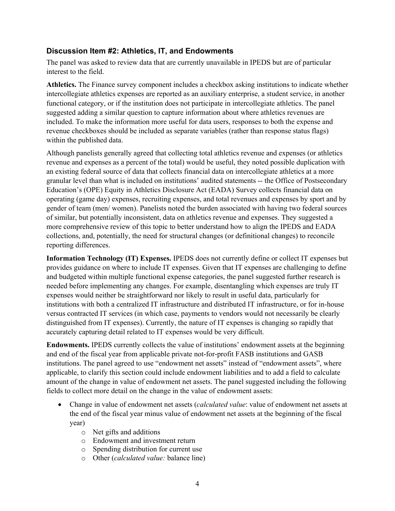#### **Discussion Item #2: Athletics, IT, and Endowments**

The panel was asked to review data that are currently unavailable in IPEDS but are of particular interest to the field.

**Athletics.** The Finance survey component includes a checkbox asking institutions to indicate whether intercollegiate athletics expenses are reported as an auxiliary enterprise, a student service, in another functional category, or if the institution does not participate in intercollegiate athletics. The panel suggested adding a similar question to capture information about where athletics revenues are included. To make the information more useful for data users, responses to both the expense and revenue checkboxes should be included as separate variables (rather than response status flags) within the published data.

Although panelists generally agreed that collecting total athletics revenue and expenses (or athletics revenue and expenses as a percent of the total) would be useful, they noted possible duplication with an existing federal source of data that collects financial data on intercollegiate athletics at a more granular level than what is included on institutions' audited statements -- the Office of Postsecondary Education's (OPE) Equity in Athletics Disclosure Act (EADA) Survey collects financial data on operating (game day) expenses, recruiting expenses, and total revenues and expenses by sport and by gender of team (men/ women). Panelists noted the burden associated with having two federal sources of similar, but potentially inconsistent, data on athletics revenue and expenses. They suggested a more comprehensive review of this topic to better understand how to align the IPEDS and EADA collections, and, potentially, the need for structural changes (or definitional changes) to reconcile reporting differences.

**Information Technology (IT) Expenses.** IPEDS does not currently define or collect IT expenses but provides guidance on where to include IT expenses. Given that IT expenses are challenging to define and budgeted within multiple functional expense categories, the panel suggested further research is needed before implementing any changes. For example, disentangling which expenses are truly IT expenses would neither be straightforward nor likely to result in useful data, particularly for institutions with both a centralized IT infrastructure and distributed IT infrastructure, or for in-house versus contracted IT services (in which case, payments to vendors would not necessarily be clearly distinguished from IT expenses). Currently, the nature of IT expenses is changing so rapidly that accurately capturing detail related to IT expenses would be very difficult.

**Endowments.** IPEDS currently collects the value of institutions' endowment assets at the beginning and end of the fiscal year from applicable private not-for-profit FASB institutions and GASB institutions. The panel agreed to use "endowment net assets" instead of "endowment assets", where applicable, to clarify this section could include endowment liabilities and to add a field to calculate amount of the change in value of endowment net assets. The panel suggested including the following fields to collect more detail on the change in the value of endowment assets:

- Change in value of endowment net assets (*calculated value*: value of endowment net assets at the end of the fiscal year minus value of endowment net assets at the beginning of the fiscal year)
	- o Net gifts and additions
	- o Endowment and investment return
	- o Spending distribution for current use
	- o Other (*calculated value:* balance line)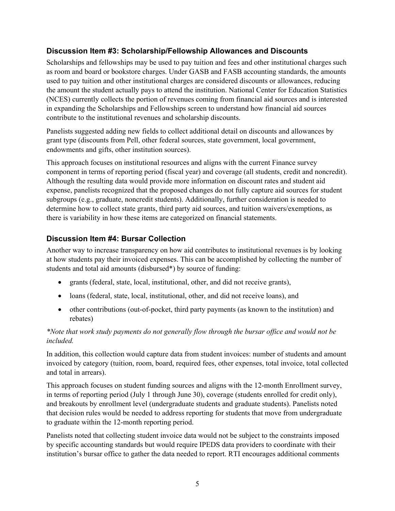# **Discussion Item #3: Scholarship/Fellowship Allowances and Discounts**

Scholarships and fellowships may be used to pay tuition and fees and other institutional charges such as room and board or bookstore charges. Under GASB and FASB accounting standards, the amounts used to pay tuition and other institutional charges are considered discounts or allowances, reducing the amount the student actually pays to attend the institution. National Center for Education Statistics (NCES) currently collects the portion of revenues coming from financial aid sources and is interested in expanding the Scholarships and Fellowships screen to understand how financial aid sources contribute to the institutional revenues and scholarship discounts.

Panelists suggested adding new fields to collect additional detail on discounts and allowances by grant type (discounts from Pell, other federal sources, state government, local government, endowments and gifts, other institution sources).

This approach focuses on institutional resources and aligns with the current Finance survey component in terms of reporting period (fiscal year) and coverage (all students, credit and noncredit). Although the resulting data would provide more information on discount rates and student aid expense, panelists recognized that the proposed changes do not fully capture aid sources for student subgroups (e.g., graduate, noncredit students). Additionally, further consideration is needed to determine how to collect state grants, third party aid sources, and tuition waivers/exemptions, as there is variability in how these items are categorized on financial statements.

# **Discussion Item #4: Bursar Collection**

Another way to increase transparency on how aid contributes to institutional revenues is by looking at how students pay their invoiced expenses. This can be accomplished by collecting the number of students and total aid amounts (disbursed\*) by source of funding:

- grants (federal, state, local, institutional, other, and did not receive grants),
- loans (federal, state, local, institutional, other, and did not receive loans), and
- other contributions (out-of-pocket, third party payments (as known to the institution) and rebates)

#### *\*Note that work study payments do not generally flow through the bursar office and would not be included.*

In addition, this collection would capture data from student invoices: number of students and amount invoiced by category (tuition, room, board, required fees, other expenses, total invoice, total collected and total in arrears).

This approach focuses on student funding sources and aligns with the 12-month Enrollment survey, in terms of reporting period (July 1 through June 30), coverage (students enrolled for credit only), and breakouts by enrollment level (undergraduate students and graduate students). Panelists noted that decision rules would be needed to address reporting for students that move from undergraduate to graduate within the 12-month reporting period.

Panelists noted that collecting student invoice data would not be subject to the constraints imposed by specific accounting standards but would require IPEDS data providers to coordinate with their institution's bursar office to gather the data needed to report. RTI encourages additional comments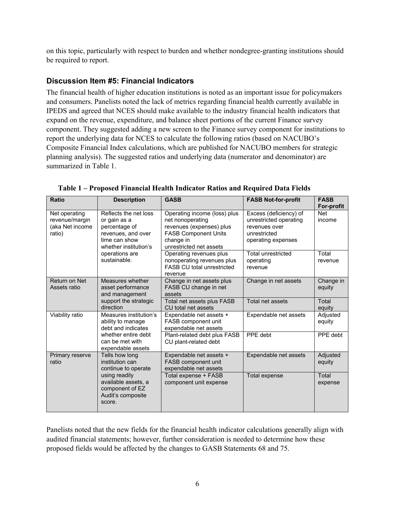on this topic, particularly with respect to burden and whether nondegree-granting institutions should be required to report.

## **Discussion Item #5: Financial Indicators**

The financial health of higher education institutions is noted as an important issue for policymakers and consumers. Panelists noted the lack of metrics regarding financial health currently available in IPEDS and agreed that NCES should make available to the industry financial health indicators that expand on the revenue, expenditure, and balance sheet portions of the current Finance survey component. They suggested adding a new screen to the Finance survey component for institutions to report the underlying data for NCES to calculate the following ratios (based on NACUBO's Composite Financial Index calculations, which are published for NACUBO members for strategic planning analysis). The suggested ratios and underlying data (numerator and denominator) are summarized in Table 1.

| <b>Ratio</b>                                                 | <b>Description</b>                                                                                                               | <b>GASB</b>                                                                                                                                         | <b>FASB Not-for-profit</b>                                                                              | <b>FASB</b><br><b>For-profit</b> |
|--------------------------------------------------------------|----------------------------------------------------------------------------------------------------------------------------------|-----------------------------------------------------------------------------------------------------------------------------------------------------|---------------------------------------------------------------------------------------------------------|----------------------------------|
| Net operating<br>revenue/margin<br>(aka Net income<br>ratio) | Reflects the net loss<br>or gain as a<br>percentage of<br>revenues, and over<br>time can show<br>whether institution's           | Operating income (loss) plus<br>net nonoperating<br>revenues (expenses) plus<br><b>FASB Component Units</b><br>change in<br>unrestricted net assets | Excess (deficiency) of<br>unrestricted operating<br>revenues over<br>unrestricted<br>operating expenses | <b>Net</b><br>income             |
|                                                              | operations are<br>sustainable.                                                                                                   | Operating revenues plus<br>nonoperating revenues plus<br><b>FASB CU total unrestricted</b><br>revenue                                               | <b>Total unrestricted</b><br>operating<br>revenue                                                       | Total<br>revenue                 |
| Return on Net<br>Assets ratio                                | Measures whether<br>asset performance<br>and management                                                                          | Change in net assets plus<br>FASB CU change in net<br>assets                                                                                        | Change in net assets                                                                                    | Change in<br>equity              |
|                                                              | support the strategic<br>direction                                                                                               | Total net assets plus FASB<br>CU total net assets                                                                                                   | Total net assets                                                                                        | Total<br>equity                  |
| Viability ratio                                              | Measures institution's<br>ability to manage<br>debt and indicates<br>whether entire debt<br>can be met with<br>expendable assets | Expendable net assets +<br>FASB component unit<br>expendable net assets                                                                             | Expendable net assets                                                                                   | Adjusted<br>equity               |
|                                                              |                                                                                                                                  | Plant-related debt plus FASB<br>CU plant-related debt                                                                                               | PPE debt                                                                                                | PPE debt                         |
| Primary reserve<br>ratio                                     | Tells how long<br>institution can<br>continue to operate                                                                         | Expendable net assets +<br>FASB component unit<br>expendable net assets                                                                             | Expendable net assets                                                                                   | Adjusted<br>equity               |
|                                                              | using readily<br>available assets, a<br>component of EZ<br>Audit's composite<br>score.                                           | Total expense + FASB<br>component unit expense                                                                                                      | <b>Total expense</b>                                                                                    | Total<br>expense                 |

**Table 1 – Proposed Financial Health Indicator Ratios and Required Data Fields** 

Panelists noted that the new fields for the financial health indicator calculations generally align with audited financial statements; however, further consideration is needed to determine how these proposed fields would be affected by the changes to GASB Statements 68 and 75.